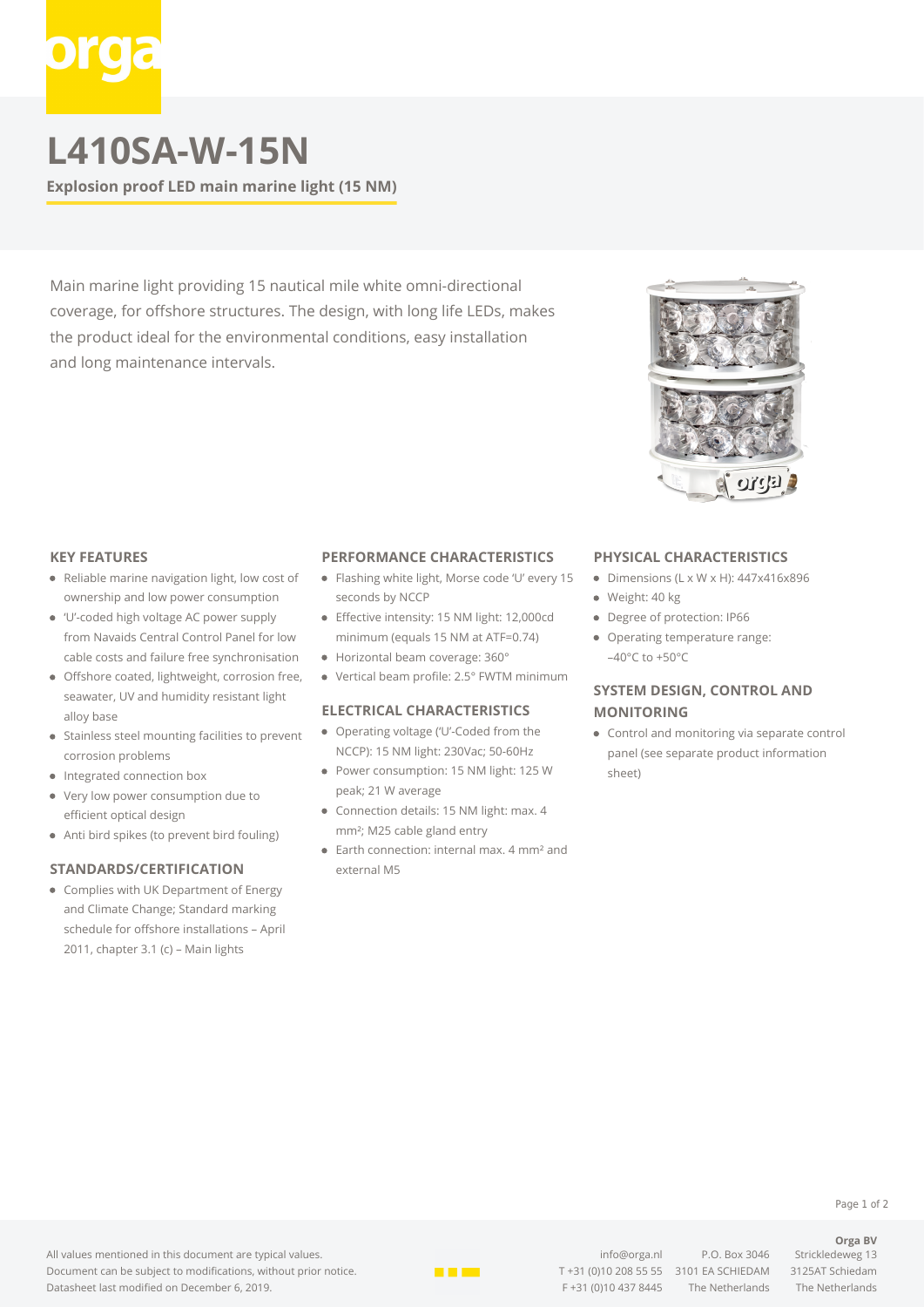# **L410SA-W-15N**

**Explosion proof LED main marine light (15 NM)**

Main marine light providing 15 nautical mile white omni-directional coverage, for offshore structures. The design, with long life LEDs, makes the product ideal for the environmental conditions, easy installation and long maintenance intervals.

# **KEY FEATURES**

- Reliable marine navigation light, low cost of ownership and low power consumption
- 'U'-coded high voltage AC power supply from Navaids Central Control Panel for low cable costs and failure free synchronisation
- Offshore coated, lightweight, corrosion free, seawater, UV and humidity resistant light alloy base
- Stainless steel mounting facilities to prevent corrosion problems
- Integrated connection box
- Very low power consumption due to efficient optical design
- Anti bird spikes (to prevent bird fouling)

## **STANDARDS/CERTIFICATION**

Complies with UK Department of Energy and Climate Change; Standard marking schedule for offshore installations – April 2011, chapter 3.1 (c) – Main lights

### **PERFORMANCE CHARACTERISTICS**

- Flashing white light, Morse code 'U' every 15 seconds by NCCP
- **•** Effective intensity: 15 NM light: 12,000cd minimum (equals 15 NM at ATF=0.74)
- Horizontal beam coverage: 360°
- Vertical beam profile: 2.5° FWTM minimum

## **ELECTRICAL CHARACTERISTICS**

- Operating voltage ('U'-Coded from the NCCP): 15 NM light: 230Vac; 50-60Hz
- Power consumption: 15 NM light: 125 W peak; 21 W average
- Connection details: 15 NM light: max. 4 mm²; M25 cable gland entry
- Earth connection: internal max. 4 mm<sup>2</sup> and external M5

### **PHYSICAL CHARACTERISTICS**

- $\bullet$  Dimensions (L x W x H): 447x416x896
- · Weight: 40 kg
- Degree of protection: IP66
- Operating temperature range:  $-40^{\circ}$ C to  $+50^{\circ}$ C

# **SYSTEM DESIGN, CONTROL AND MONITORING**

Control and monitoring via separate control panel (see separate product information sheet)



[info@orga.nl](mailto:info@orga.nl) P.O. Box 3046 Strickledeweg 13 T [+31 \(0\)10 208 55 55](#page--1-0) 3101 EA SCHIEDAM 3125AT Schiedam F +31 (0)10 437 8445 The Netherlands The Netherlands

Page 1 of 2

**Orga BV**